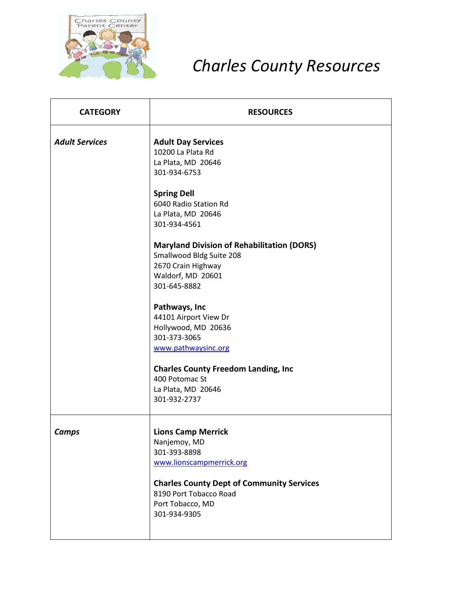

## *Charles County Resources*

| <b>CATEGORY</b>       | <b>RESOURCES</b>                                                                                                                                                    |
|-----------------------|---------------------------------------------------------------------------------------------------------------------------------------------------------------------|
| <b>Adult Services</b> | <b>Adult Day Services</b><br>10200 La Plata Rd<br>La Plata, MD 20646<br>301-934-6753                                                                                |
|                       | <b>Spring Dell</b><br>6040 Radio Station Rd<br>La Plata, MD 20646<br>301-934-4561                                                                                   |
|                       | <b>Maryland Division of Rehabilitation (DORS)</b><br>Smallwood Bldg Suite 208<br>2670 Crain Highway<br>Waldorf, MD 20601<br>301-645-8882                            |
|                       | Pathways, Inc<br>44101 Airport View Dr<br>Hollywood, MD 20636<br>301-373-3065<br>www.pathwaysinc.org                                                                |
|                       | <b>Charles County Freedom Landing, Inc</b><br>400 Potomac St<br>La Plata, MD 20646<br>301-932-2737                                                                  |
| <b>Camps</b>          | <b>Lions Camp Merrick</b><br>Nanjemoy, MD<br>301-393-8898<br>www.lionscampmerrick.org<br><b>Charles County Dept of Community Services</b><br>8190 Port Tobacco Road |
|                       | Port Tobacco, MD<br>301-934-9305                                                                                                                                    |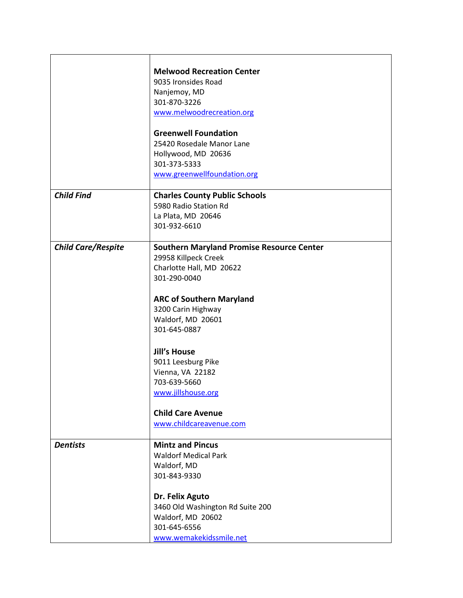|                           | <b>Melwood Recreation Center</b><br>9035 Ironsides Road<br>Nanjemoy, MD<br>301-870-3226<br>www.melwoodrecreation.org<br><b>Greenwell Foundation</b>                                                                                                                                                                                                                              |
|---------------------------|----------------------------------------------------------------------------------------------------------------------------------------------------------------------------------------------------------------------------------------------------------------------------------------------------------------------------------------------------------------------------------|
|                           | 25420 Rosedale Manor Lane<br>Hollywood, MD 20636<br>301-373-5333<br>www.greenwellfoundation.org                                                                                                                                                                                                                                                                                  |
| <b>Child Find</b>         | <b>Charles County Public Schools</b><br>5980 Radio Station Rd<br>La Plata, MD 20646<br>301-932-6610                                                                                                                                                                                                                                                                              |
| <b>Child Care/Respite</b> | <b>Southern Maryland Promise Resource Center</b><br>29958 Killpeck Creek<br>Charlotte Hall, MD 20622<br>301-290-0040<br><b>ARC of Southern Maryland</b><br>3200 Carin Highway<br>Waldorf, MD 20601<br>301-645-0887<br><b>Jill's House</b><br>9011 Leesburg Pike<br>Vienna, VA 22182<br>703-639-5660<br>www.jillshouse.org<br><b>Child Care Avenue</b><br>www.childcareavenue.com |
| <b>Dentists</b>           | <b>Mintz and Pincus</b><br><b>Waldorf Medical Park</b><br>Waldorf, MD<br>301-843-9330<br>Dr. Felix Aguto<br>3460 Old Washington Rd Suite 200<br>Waldorf, MD 20602<br>301-645-6556<br>www.wemakekidssmile.net                                                                                                                                                                     |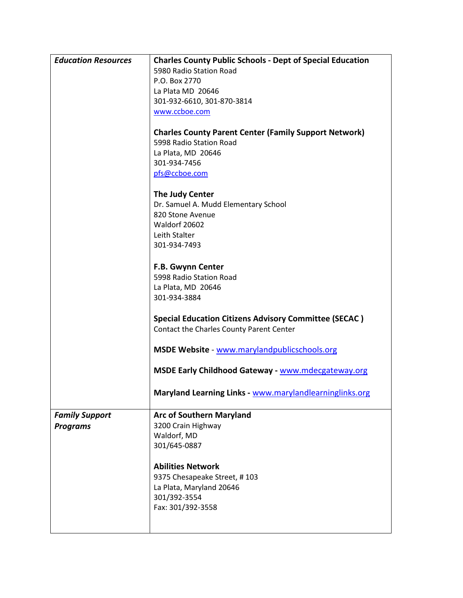| <b>Education Resources</b>               | <b>Charles County Public Schools - Dept of Special Education</b>                                                                               |
|------------------------------------------|------------------------------------------------------------------------------------------------------------------------------------------------|
|                                          | 5980 Radio Station Road                                                                                                                        |
|                                          | P.O. Box 2770                                                                                                                                  |
|                                          | La Plata MD 20646                                                                                                                              |
|                                          | 301-932-6610, 301-870-3814                                                                                                                     |
|                                          | www.ccboe.com                                                                                                                                  |
|                                          | <b>Charles County Parent Center (Family Support Network)</b><br>5998 Radio Station Road<br>La Plata, MD 20646<br>301-934-7456<br>pfs@ccboe.com |
|                                          | The Judy Center<br>Dr. Samuel A. Mudd Elementary School<br>820 Stone Avenue<br>Waldorf 20602<br>Leith Stalter<br>301-934-7493                  |
|                                          | F.B. Gwynn Center<br>5998 Radio Station Road<br>La Plata, MD 20646<br>301-934-3884                                                             |
|                                          | <b>Special Education Citizens Advisory Committee (SECAC)</b><br>Contact the Charles County Parent Center                                       |
|                                          | MSDE Website - www.marylandpublicschools.org                                                                                                   |
|                                          | <b>MSDE Early Childhood Gateway - www.mdecgateway.org</b>                                                                                      |
|                                          | Maryland Learning Links - www.marylandlearninglinks.org                                                                                        |
| <b>Family Support</b><br><b>Programs</b> | <b>Arc of Southern Maryland</b><br>3200 Crain Highway<br>Waldorf, MD<br>301/645-0887<br><b>Abilities Network</b>                               |
|                                          | 9375 Chesapeake Street, #103<br>La Plata, Maryland 20646<br>301/392-3554<br>Fax: 301/392-3558                                                  |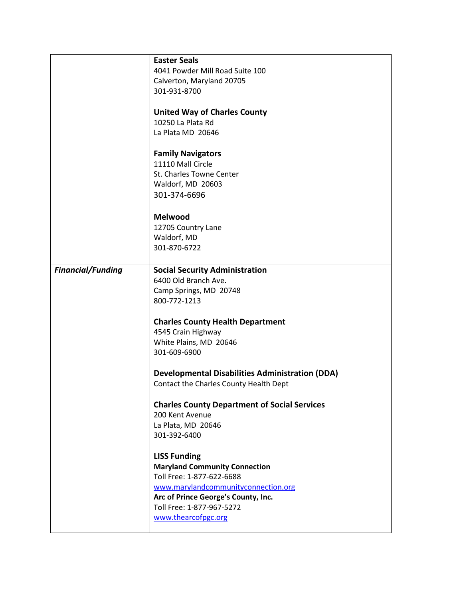|                          | <b>Easter Seals</b><br>4041 Powder Mill Road Suite 100<br>Calverton, Maryland 20705 |
|--------------------------|-------------------------------------------------------------------------------------|
|                          | 301-931-8700                                                                        |
|                          | <b>United Way of Charles County</b>                                                 |
|                          | 10250 La Plata Rd                                                                   |
|                          | La Plata MD 20646                                                                   |
|                          | <b>Family Navigators</b>                                                            |
|                          | 11110 Mall Circle                                                                   |
|                          | St. Charles Towne Center                                                            |
|                          | Waldorf, MD 20603                                                                   |
|                          | 301-374-6696                                                                        |
|                          | Melwood                                                                             |
|                          | 12705 Country Lane                                                                  |
|                          | Waldorf, MD                                                                         |
|                          | 301-870-6722                                                                        |
| <b>Financial/Funding</b> | <b>Social Security Administration</b>                                               |
|                          | 6400 Old Branch Ave.                                                                |
|                          | Camp Springs, MD 20748                                                              |
|                          | 800-772-1213                                                                        |
|                          | <b>Charles County Health Department</b>                                             |
|                          | 4545 Crain Highway                                                                  |
|                          | White Plains, MD 20646                                                              |
|                          | 301-609-6900                                                                        |
|                          | <b>Developmental Disabilities Administration (DDA)</b>                              |
|                          | Contact the Charles County Health Dept                                              |
|                          | <b>Charles County Department of Social Services</b>                                 |
|                          | 200 Kent Avenue                                                                     |
|                          | La Plata, MD 20646                                                                  |
|                          | 301-392-6400                                                                        |
|                          | <b>LISS Funding</b>                                                                 |
|                          | <b>Maryland Community Connection</b>                                                |
|                          | Toll Free: 1-877-622-6688                                                           |
|                          | www.marylandcommunityconnection.org                                                 |
|                          | Arc of Prince George's County, Inc.                                                 |
|                          | Toll Free: 1-877-967-5272                                                           |
|                          | www.thearcofpgc.org                                                                 |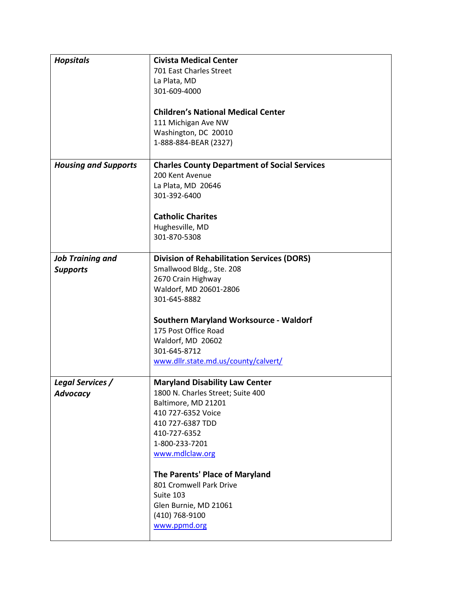| <b>Hopsitals</b>            | <b>Civista Medical Center</b>                       |
|-----------------------------|-----------------------------------------------------|
|                             | 701 East Charles Street                             |
|                             | La Plata, MD                                        |
|                             | 301-609-4000                                        |
|                             |                                                     |
|                             | <b>Children's National Medical Center</b>           |
|                             | 111 Michigan Ave NW                                 |
|                             | Washington, DC 20010                                |
|                             | 1-888-884-BEAR (2327)                               |
|                             |                                                     |
| <b>Housing and Supports</b> | <b>Charles County Department of Social Services</b> |
|                             | 200 Kent Avenue                                     |
|                             | La Plata, MD 20646                                  |
|                             | 301-392-6400                                        |
|                             |                                                     |
|                             | <b>Catholic Charites</b>                            |
|                             | Hughesville, MD                                     |
|                             | 301-870-5308                                        |
|                             |                                                     |
| <b>Job Training and</b>     | <b>Division of Rehabilitation Services (DORS)</b>   |
| <b>Supports</b>             | Smallwood Bldg., Ste. 208                           |
|                             | 2670 Crain Highway                                  |
|                             | Waldorf, MD 20601-2806                              |
|                             | 301-645-8882                                        |
|                             |                                                     |
|                             | <b>Southern Maryland Worksource - Waldorf</b>       |
|                             | 175 Post Office Road                                |
|                             | Waldorf, MD 20602                                   |
|                             | 301-645-8712                                        |
|                             | www.dllr.state.md.us/county/calvert/                |
|                             |                                                     |
| <b>Legal Services /</b>     | <b>Maryland Disability Law Center</b>               |
| <b>Advocacy</b>             | 1800 N. Charles Street; Suite 400                   |
|                             | Baltimore, MD 21201                                 |
|                             | 410 727-6352 Voice                                  |
|                             | 410 727-6387 TDD                                    |
|                             | 410-727-6352                                        |
|                             | 1-800-233-7201                                      |
|                             | www.mdlclaw.org                                     |
|                             |                                                     |
|                             | The Parents' Place of Maryland                      |
|                             | 801 Cromwell Park Drive                             |
|                             | Suite 103                                           |
|                             | Glen Burnie, MD 21061                               |
|                             | (410) 768-9100                                      |
|                             | www.ppmd.org                                        |
|                             |                                                     |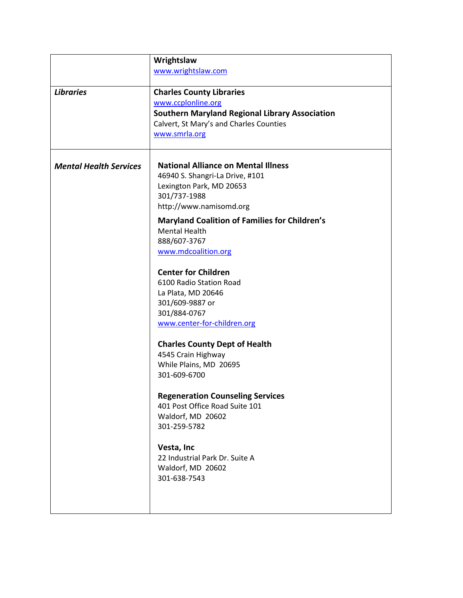|                               | Wrightslaw                                            |
|-------------------------------|-------------------------------------------------------|
|                               | www.wrightslaw.com                                    |
| <b>Libraries</b>              | <b>Charles County Libraries</b>                       |
|                               | www.ccplonline.org                                    |
|                               | <b>Southern Maryland Regional Library Association</b> |
|                               | Calvert, St Mary's and Charles Counties               |
|                               | www.smrla.org                                         |
|                               |                                                       |
| <b>Mental Health Services</b> | <b>National Alliance on Mental Illness</b>            |
|                               | 46940 S. Shangri-La Drive, #101                       |
|                               | Lexington Park, MD 20653                              |
|                               | 301/737-1988                                          |
|                               | http://www.namisomd.org                               |
|                               |                                                       |
|                               | <b>Maryland Coalition of Families for Children's</b>  |
|                               | <b>Mental Health</b>                                  |
|                               | 888/607-3767                                          |
|                               | www.mdcoalition.org                                   |
|                               | <b>Center for Children</b>                            |
|                               | 6100 Radio Station Road                               |
|                               | La Plata, MD 20646                                    |
|                               | 301/609-9887 or                                       |
|                               | 301/884-0767                                          |
|                               | www.center-for-children.org                           |
|                               | <b>Charles County Dept of Health</b>                  |
|                               | 4545 Crain Highway                                    |
|                               | While Plains, MD 20695                                |
|                               | 301-609-6700                                          |
|                               |                                                       |
|                               | <b>Regeneration Counseling Services</b>               |
|                               | 401 Post Office Road Suite 101                        |
|                               | Waldorf, MD 20602                                     |
|                               | 301-259-5782                                          |
|                               | Vesta, Inc                                            |
|                               | 22 Industrial Park Dr. Suite A                        |
|                               | Waldorf, MD 20602                                     |
|                               | 301-638-7543                                          |
|                               |                                                       |
|                               |                                                       |
|                               |                                                       |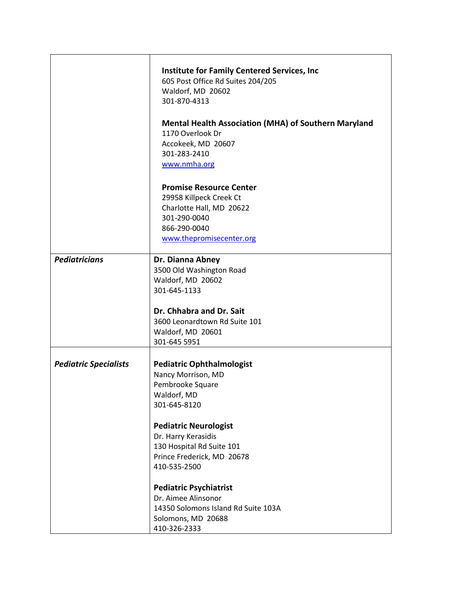|                              | <b>Institute for Family Centered Services, Inc.</b><br>605 Post Office Rd Suites 204/205<br>Waldorf, MD 20602<br>301-870-4313<br><b>Mental Health Association (MHA) of Southern Maryland</b><br>1170 Overlook Dr<br>Accokeek, MD 20607<br>301-283-2410<br>www.nmha.org |
|------------------------------|------------------------------------------------------------------------------------------------------------------------------------------------------------------------------------------------------------------------------------------------------------------------|
|                              | <b>Promise Resource Center</b><br>29958 Killpeck Creek Ct<br>Charlotte Hall, MD 20622<br>301-290-0040<br>866-290-0040<br>www.thepromisecenter.org                                                                                                                      |
| <b>Pediatricians</b>         | Dr. Dianna Abney<br>3500 Old Washington Road<br>Waldorf, MD 20602<br>301-645-1133<br>Dr. Chhabra and Dr. Sait<br>3600 Leonardtown Rd Suite 101<br>Waldorf, MD 20601<br>301-645 5951                                                                                    |
| <b>Pediatric Specialists</b> | <b>Pediatric Ophthalmologist</b><br>Nancy Morrison, MD<br>Pembrooke Square<br>Waldorf, MD<br>301-645-8120<br><b>Pediatric Neurologist</b><br>Dr. Harry Kerasidis<br>130 Hospital Rd Suite 101<br>Prince Frederick, MD 20678<br>410-535-2500                            |
|                              | <b>Pediatric Psychiatrist</b><br>Dr. Aimee Alinsonor<br>14350 Solomons Island Rd Suite 103A<br>Solomons, MD 20688<br>410-326-2333                                                                                                                                      |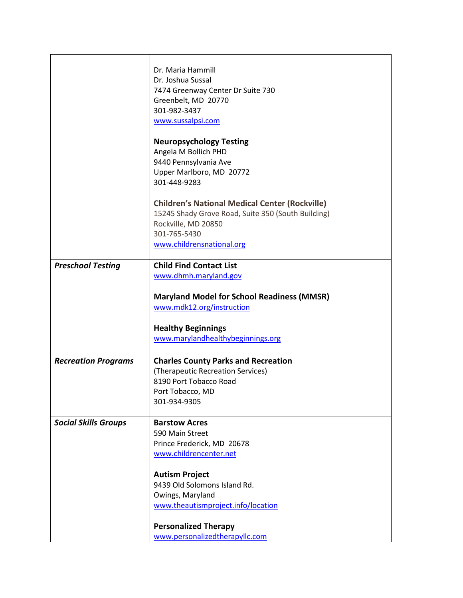|                             | Dr. Maria Hammill<br>Dr. Joshua Sussal<br>7474 Greenway Center Dr Suite 730<br>Greenbelt, MD 20770<br>301-982-3437<br>www.sussalpsi.com<br><b>Neuropsychology Testing</b><br>Angela M Bollich PHD<br>9440 Pennsylvania Ave<br>Upper Marlboro, MD 20772<br>301-448-9283<br><b>Children's National Medical Center (Rockville)</b><br>15245 Shady Grove Road, Suite 350 (South Building) |
|-----------------------------|---------------------------------------------------------------------------------------------------------------------------------------------------------------------------------------------------------------------------------------------------------------------------------------------------------------------------------------------------------------------------------------|
|                             | Rockville, MD 20850<br>301-765-5430                                                                                                                                                                                                                                                                                                                                                   |
|                             | www.childrensnational.org                                                                                                                                                                                                                                                                                                                                                             |
|                             |                                                                                                                                                                                                                                                                                                                                                                                       |
| <b>Preschool Testing</b>    | <b>Child Find Contact List</b><br>www.dhmh.maryland.gov                                                                                                                                                                                                                                                                                                                               |
|                             |                                                                                                                                                                                                                                                                                                                                                                                       |
|                             | <b>Maryland Model for School Readiness (MMSR)</b>                                                                                                                                                                                                                                                                                                                                     |
|                             | www.mdk12.org/instruction                                                                                                                                                                                                                                                                                                                                                             |
|                             | <b>Healthy Beginnings</b>                                                                                                                                                                                                                                                                                                                                                             |
|                             | www.marylandhealthybeginnings.org                                                                                                                                                                                                                                                                                                                                                     |
| <b>Recreation Programs</b>  | <b>Charles County Parks and Recreation</b>                                                                                                                                                                                                                                                                                                                                            |
|                             | (Therapeutic Recreation Services)                                                                                                                                                                                                                                                                                                                                                     |
|                             | 8190 Port Tobacco Road                                                                                                                                                                                                                                                                                                                                                                |
|                             | Port Tobacco, MD                                                                                                                                                                                                                                                                                                                                                                      |
|                             | 301-934-9305                                                                                                                                                                                                                                                                                                                                                                          |
| <b>Social Skills Groups</b> | <b>Barstow Acres</b>                                                                                                                                                                                                                                                                                                                                                                  |
|                             | 590 Main Street                                                                                                                                                                                                                                                                                                                                                                       |
|                             | Prince Frederick, MD 20678                                                                                                                                                                                                                                                                                                                                                            |
|                             | www.childrencenter.net                                                                                                                                                                                                                                                                                                                                                                |
|                             | <b>Autism Project</b>                                                                                                                                                                                                                                                                                                                                                                 |
|                             | 9439 Old Solomons Island Rd.                                                                                                                                                                                                                                                                                                                                                          |
|                             | Owings, Maryland                                                                                                                                                                                                                                                                                                                                                                      |
|                             | www.theautismproject.info/location                                                                                                                                                                                                                                                                                                                                                    |
|                             | <b>Personalized Therapy</b>                                                                                                                                                                                                                                                                                                                                                           |
|                             | www.personalizedtherapyllc.com                                                                                                                                                                                                                                                                                                                                                        |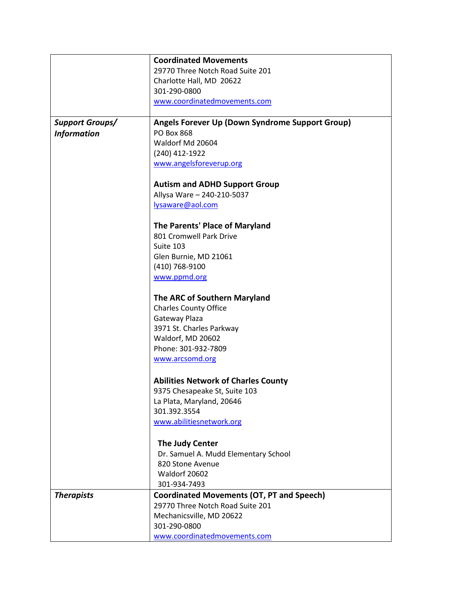|                        | <b>Coordinated Movements</b>                     |
|------------------------|--------------------------------------------------|
|                        | 29770 Three Notch Road Suite 201                 |
|                        | Charlotte Hall, MD 20622                         |
|                        | 301-290-0800                                     |
|                        | www.coordinatedmovements.com                     |
| <b>Support Groups/</b> | Angels Forever Up (Down Syndrome Support Group)  |
| <b>Information</b>     | <b>PO Box 868</b>                                |
|                        | Waldorf Md 20604                                 |
|                        | (240) 412-1922                                   |
|                        | www.angelsforeverup.org                          |
|                        | <b>Autism and ADHD Support Group</b>             |
|                        | Allysa Ware - 240-210-5037                       |
|                        | lysaware@aol.com                                 |
|                        | The Parents' Place of Maryland                   |
|                        | 801 Cromwell Park Drive                          |
|                        | Suite 103                                        |
|                        | Glen Burnie, MD 21061                            |
|                        | (410) 768-9100                                   |
|                        | www.ppmd.org                                     |
|                        | The ARC of Southern Maryland                     |
|                        | <b>Charles County Office</b>                     |
|                        | Gateway Plaza                                    |
|                        | 3971 St. Charles Parkway                         |
|                        | Waldorf, MD 20602                                |
|                        | Phone: 301-932-7809                              |
|                        | www.arcsomd.org                                  |
|                        | <b>Abilities Network of Charles County</b>       |
|                        | 9375 Chesapeake St, Suite 103                    |
|                        | La Plata, Maryland, 20646                        |
|                        | 301.392.3554                                     |
|                        | www.abilitiesnetwork.org                         |
|                        | The Judy Center                                  |
|                        | Dr. Samuel A. Mudd Elementary School             |
|                        | 820 Stone Avenue                                 |
|                        | Waldorf 20602                                    |
|                        | 301-934-7493                                     |
| <b>Therapists</b>      | <b>Coordinated Movements (OT, PT and Speech)</b> |
|                        | 29770 Three Notch Road Suite 201                 |
|                        | Mechanicsville, MD 20622                         |
|                        | 301-290-0800                                     |
|                        | www.coordinatedmovements.com                     |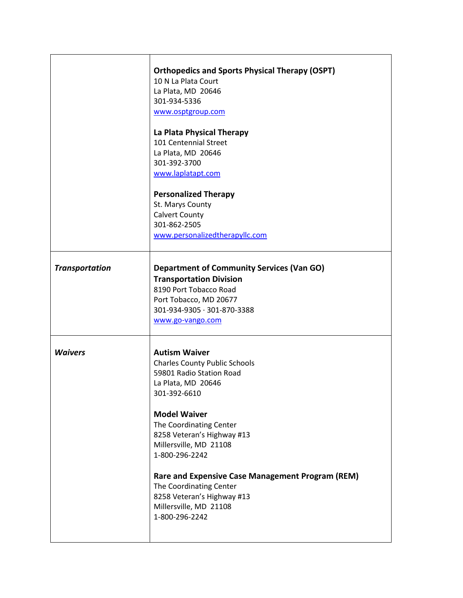|                       | <b>Orthopedics and Sports Physical Therapy (OSPT)</b><br>10 N La Plata Court<br>La Plata, MD 20646<br>301-934-5336<br>www.osptgroup.com<br>La Plata Physical Therapy<br>101 Centennial Street<br>La Plata, MD 20646<br>301-392-3700<br>www.laplatapt.com<br><b>Personalized Therapy</b><br>St. Marys County<br><b>Calvert County</b><br>301-862-2505<br>www.personalizedtherapyllc.com                              |
|-----------------------|---------------------------------------------------------------------------------------------------------------------------------------------------------------------------------------------------------------------------------------------------------------------------------------------------------------------------------------------------------------------------------------------------------------------|
| <b>Transportation</b> | <b>Department of Community Services (Van GO)</b><br><b>Transportation Division</b><br>8190 Port Tobacco Road<br>Port Tobacco, MD 20677<br>301-934-9305 · 301-870-3388<br>www.go-vango.com                                                                                                                                                                                                                           |
| <b>Waivers</b>        | <b>Autism Waiver</b><br><b>Charles County Public Schools</b><br>59801 Radio Station Road<br>La Plata, MD 20646<br>301-392-6610<br><b>Model Waiver</b><br>The Coordinating Center<br>8258 Veteran's Highway #13<br>Millersville, MD 21108<br>1-800-296-2242<br>Rare and Expensive Case Management Program (REM)<br>The Coordinating Center<br>8258 Veteran's Highway #13<br>Millersville, MD 21108<br>1-800-296-2242 |